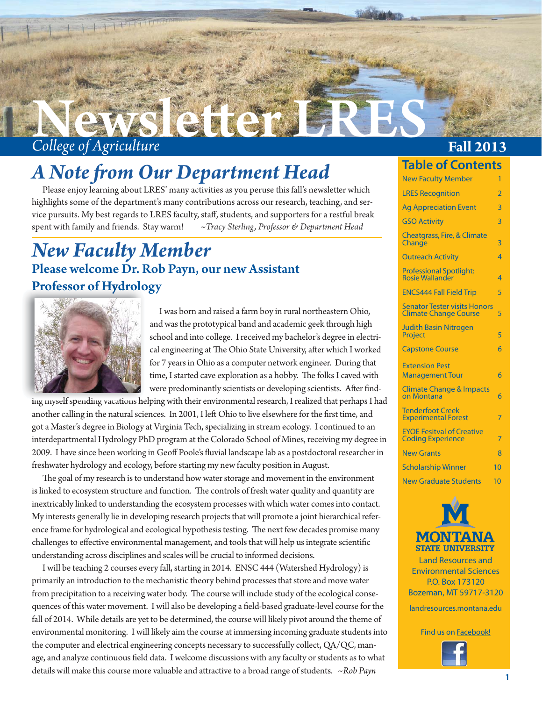

### *A Note from Our Department Head*

Please enjoy learning about LRES' many activities as you peruse this fall's newsletter which highlights some of the department's many contributions across our research, teaching, and service pursuits. My best regards to LRES faculty, staff, students, and supporters for a restful break spent with family and friends. Stay warm! *~Tracy Sterling, Professor & Department Head*

### Please welcome Dr. Rob Payn, our new Assistant Professor of Hydrology Professor of Hydrolo *New Faculty Member*



 I was born and raised a farm boy in rural northeastern Ohio, and was the prototypical band and academic geek through high school and into college. I received my bachelor's degree in electrical engineering at The Ohio State University, after which I worked for 7 years in Ohio as a computer network engineer. During that time, I started cave exploration as a hobby. The folks I caved with were predominantly scientists or developing scientists. After find-

ing myself spending vacations helping with their environmental research, I realized that perhaps I had another calling in the natural sciences. In 2001, I left Ohio to live elsewhere for the first time, and got a Master's degree in Biology at Virginia Tech, specializing in stream ecology. I continued to an interdepartmental Hydrology PhD program at the Colorado School of Mines, receiving my degree in 2009. I have since been working in Geoff Poole's fluvial landscape lab as a postdoctoral researcher in freshwater hydrology and ecology, before starting my new faculty position in August.

The goal of my research is to understand how water storage and movement in the environment is linked to ecosystem structure and function. The controls of fresh water quality and quantity are inextricably linked to understanding the ecosystem processes with which water comes into contact. My interests generally lie in developing research projects that will promote a joint hierarchical reference frame for hydrological and ecological hypothesis testing. The next few decades promise many challenges to effective environmental management, and tools that will help us integrate scientific understanding across disciplines and scales will be crucial to informed decisions.

 I will be teaching 2 courses every fall, starting in 2014. ENSC 444 (Watershed Hydrology) is primarily an introduction to the mechanistic theory behind processes that store and move water from precipitation to a receiving water body. The course will include study of the ecological consequences of this water movement. I will also be developing a field-based graduate-level course for the fall of 2014. While details are yet to be determined, the course will likely pivot around the theme of environmental monitoring. I will likely aim the course at immersing incoming graduate students into the computer and electrical engineering concepts necessary to successfully collect, QA/QC, manage, and analyze continuous field data. I welcome discussions with any faculty or students as to what details will make this course more valuable and attractive to a broad range of students. *~Rob Payn* 

### **Table of Contents**

| <b>New Faculty Member</b>                                           | 1              |
|---------------------------------------------------------------------|----------------|
| <b>LRES Recognition</b>                                             | $\overline{2}$ |
| <b>Ag Appreciation Event</b>                                        | $\overline{3}$ |
| <b>GSO Activity</b>                                                 | $\overline{3}$ |
| <b>Cheatgrass, Fire, &amp; Climate</b><br>Change                    | $\overline{3}$ |
| <b>Outreach Activity</b>                                            | $\overline{4}$ |
| <b>Professional Spotlight:</b><br><b>Rosie Wallander</b>            | $\overline{4}$ |
| <b>ENCS444 Fall Field Trip</b>                                      | 5              |
| <b>Senator Tester visits Honors</b><br><b>Climate Change Course</b> | 5              |
| <b>Judith Basin Nitrogen</b><br>Project                             | 5              |
| <b>Capstone Course</b>                                              | 6              |
| <b>Extension Pest</b><br><b>Management Tour</b>                     | 6              |
| <b>Climate Change &amp; Impacts</b><br>on Montana                   | 6              |
| <b>Tenderfoot Creek</b><br><b>Experimental Forest</b>               | 7              |
| <b>EYOE Fesitval of Creative</b><br><b>Coding Experience</b>        | 7              |
| <b>New Grants</b>                                                   | 8              |
| <b>Scholarship Winner</b>                                           | 10             |
| <b>New Graduate Students</b>                                        | 10             |



Land Resources and Environmental Sciences P.O. Box 173120 Bozeman, MT 59717-3120

[landresources.montana.edu](http://landresources.montana.edu/)

Find us on **Facebook!** 

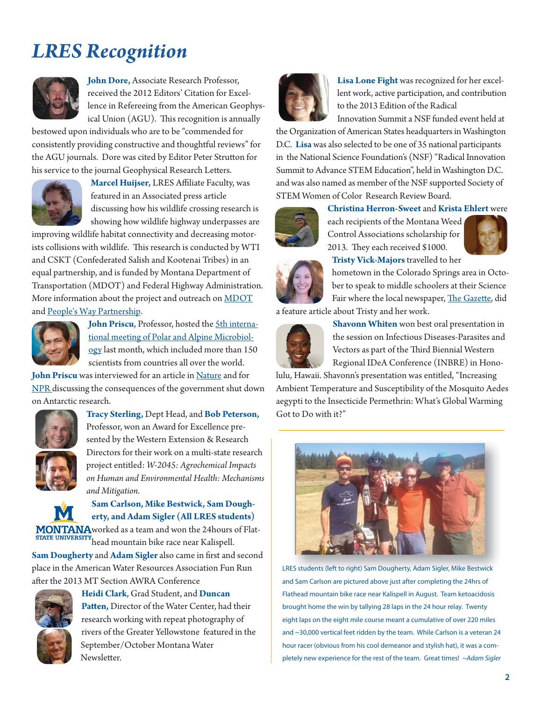## *LRES Recognition*



**John Dore,** Associate Research Professor, received the 2012 Editors' Citation for Excellence in Refereeing from the American Geophysical Union (AGU). This recognition is annually

bestowed upon individuals who are to be "commended for consistently providing constructive and thoughtful reviews" for the AGU journals. Dore was cited by Editor Peter Strutton for his service to the journal Geophysical Research Letters.



**Marcel Huijser, LRES Affiliate Faculty, was** featured in an Associated press article discussing how his wildlife crossing research is showing how wildlife highway underpasses are

improving wildlife habitat connectivity and decreasing motorists collisions with wildlife. This research is conducted by WTI and CSKT (Confederated Salish and Kootenai Tribes) in an equal partnership, and is funded by Montana Department of Transportation (MDOT) and Federal Highway Administration. More information about the project and outreach on [MDOT](http://www.mdt.mt.gov/research/projects/env/wildlife_crossing.shtml) and [People's Way Partnership.](http://www.peopleswaywildlifecrossings.org/)



**John Priscu, Professor, hosted the 5th interna**tional meeting of Polar and Alpine Microbiol[ogy last month, which included more than 150](http://polaralpinemicrobiology2013.montana.edu/about.html)  scientists from countries all over the world.

John Priscu was interviewed for an article in [Nature](http://www.nature.com/news/politics-the-long-shadow-of-the-shutdown-1.13978) and for [NPR](http://www.npr.org/2013/10/07/230170093/even-antarctica-feels-the-effects-of-the-government-shutdown) discussing the consequences of the government shut down on Antarctic research.



**Tracy Sterling,** Dept Head, and **Bob Peterson,**  Professor, won an Award for Excellence presented by the Western Extension & Research Directors for their work on a multi-state research project entitled: *W-2045: Agrochemical Impacts on Human and Environmental Health: Mechanisms and Mitigation.*



**Sam Carlson, Mike Bestwick, Sam Dougherty, and Adam Sigler (All LRES students)** 

MONTANA worked as a team and won the 24hours of Flat-**HEAD AT A READ FORMATION STATE UNIVERSITY**<br>head mountain bike race near Kalispell.

Sam Dougherty and Adam Sigler also came in first and second place in the American Water Resources Association Fun Run after the 2013 MT Section AWRA Conference



**Heidi Clark**, Grad Student, and **Duncan**  Patten, Director of the Water Center, had their research working with repeat photography of rivers of the Greater Yellowstone featured in the September/October Montana Water Newsletter.



**Lisa Lone Fight** was recognized for her excellent work, active participation, and contribution to the 2013 Edition of the Radical

Innovation Summit a NSF funded event held at the Organization of American States headquarters in Washington D.C. **Lisa** was also selected to be one of 35 national participants in the National Science Foundation's (NSF) "Radical Innovation Summit to Advance STEM Education", held in Washington D.C. and was also named as member of the NSF supported Society of STEM Women of Color Research Review Board.



**Christina Herron-Sweet** and **Krista Ehlert** were

each recipients of the Montana Weed Control Associations scholarship for 2013. They each received \$1000.





**Tristy Vick-Majors** travelled to her hometown in the Colorado Springs area in October to speak to middle schoolers at their Science

Fair where the local newspaper, The Gazette, did a feature article about Tristy and her work.



**Shavonn Whiten** won best oral presentation in the session on Infectious Diseases-Parasites and Vectors as part of the Third Biennial Western Regional IDeA Conference (INBRE) in Hono-

lulu, Hawaii. Shavonn's presentation was entitled, "Increasing Ambient Temperature and Susceptibility of the Mosquito Aedes aegypti to the Insecticide Permethrin: What's Global Warming Got to Do with it?"



LRES students (left to right) Sam Dougherty, Adam Sigler, Mike Bestwick and Sam Carlson are pictured above just after completing the 24hrs of Flathead mountain bike race near Kalispell in August. Team ketoacidosis brought home the win by tallying 28 laps in the 24 hour relay. Twenty eight laps on the eight mile course meant a cumulative of over 220 miles and ~30,000 vertical feet ridden by the team. While Carlson is a veteran 24 hour racer (obvious from his cool demeanor and stylish hat), it was a completely new experience for the rest of the team. Great times! ~Adam Sigler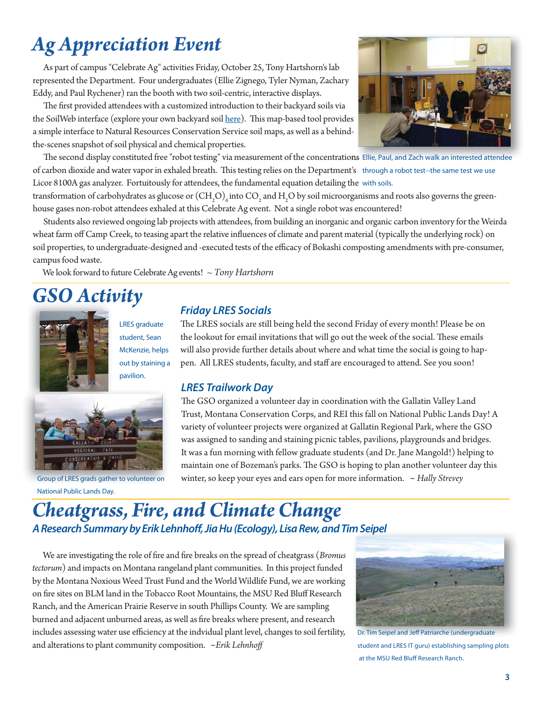# *Ag Appreciation Event*

 As part of campus "Celebrate Ag" activities Friday, October 25, Tony Hartshorn's lab represented the Department. Four undergraduates (Ellie Zignego, Tyler Nyman, Zachary Eddy, and Paul Rychener) ran the booth with two soil-centric, interactive displays.

The first provided attendees with a customized introduction to their backyard soils via the SoilWeb interface (explore your own backyard soil [here\)](http://casoilresource.lawr.ucdavis.edu/soilweb_gmap/). This map-based tool provides a simple interface to Natural Resources Conservation Service soil maps, as well as a behindthe-scenes snapshot of soil physical and chemical properties.



The second display constituted free "robot testing" via measurement of the concentrations Ellie, Paul, and Zach walk an interested attendee of carbon dioxide and water vapor in exhaled breath. This testing relies on the Department's through a robot test--the same test we use Licor 8100A gas analyzer. Fortuitously for attendees, the fundamental equation detailing the with soils.

transformation of carbohydrates as glucose or  ${\rm (CH_2O)}_6$  into  ${\rm CO}_2$  and  ${\rm H_2O}$  by soil microorganisms and roots also governs the greenhouse gases non-robot attendees exhaled at this Celebrate Ag event. Not a single robot was encountered!

Students also reviewed ongoing lab projects with attendees, from building an inorganic and organic carbon inventory for the Weirda wheat farm off Camp Creek, to teasing apart the relative influences of climate and parent material (typically the underlying rock) on soil properties, to undergraduate-designed and -executed tests of the efficacy of Bokashi composting amendments with pre-consumer, campus food waste.

We look forward to future Celebrate Ag events!  $\sim$  Tony Hartshorn

# *GSO Activity Friday LRES Socials*



LRES graduate student, Sean McKenzie, helps out by staining a pavilion.



Group of LRES grads gather to volunteer on National Public Lands Day.

The LRES socials are still being held the second Friday of every month! Please be on the lookout for email invitations that will go out the week of the social. These emails will also provide further details about where and what time the social is going to happen. All LRES students, faculty, and staff are encouraged to attend. See you soon!

#### *LRES Trailwork Day*

The GSO organized a volunteer day in coordination with the Gallatin Valley Land Trust, Montana Conservation Corps, and REI this fall on National Public Lands Day! A variety of volunteer projects were organized at Gallatin Regional Park, where the GSO was assigned to sanding and staining picnic tables, pavilions, playgrounds and bridges. It was a fun morning with fellow graduate students (and Dr. Jane Mangold!) helping to maintain one of Bozeman's parks. The GSO is hoping to plan another volunteer day this winter, so keep your eyes and ears open for more information. *~ Hally Strevey*

### *Cheatgrass, Fire, and Climate Change A Research Summary by Erik Lehnhoff , Jia Hu (Ecology), Lisa Rew, and Tim Seipel*

We are investigating the role of fire and fire breaks on the spread of cheatgrass (*Bromus tectorum*) and impacts on Montana rangeland plant communities. In this project funded by the Montana Noxious Weed Trust Fund and the World Wildlife Fund, we are working on fire sites on BLM land in the Tobacco Root Mountains, the MSU Red Bluff Research Ranch, and the American Prairie Reserve in south Phillips County. We are sampling burned and adjacent unburned areas, as well as fire breaks where present, and research includes assessing water use efficiency at the indvidual plant level, changes to soil fertility, and alterations to plant community composition. *~Erik Lehnhoff* 



Dr. Tim Seipel and Jeff Patriarche (undergraduate student and LRES IT guru) establishing sampling plots at the MSU Red Bluff Research Ranch.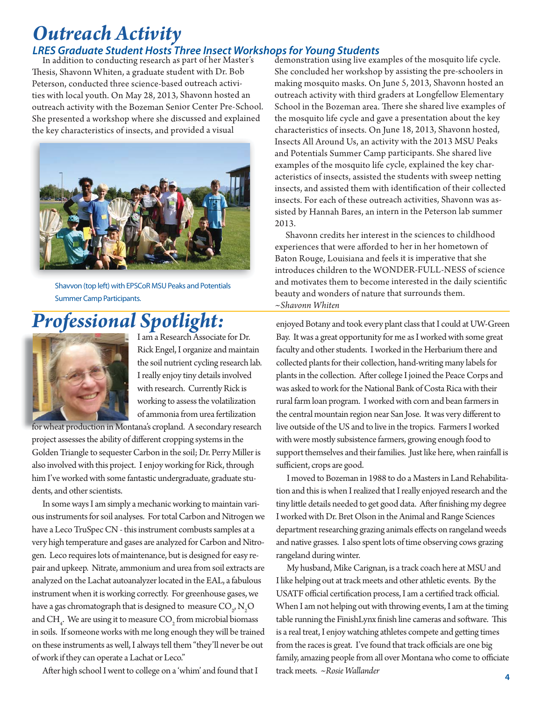### *Outreach Activity*

#### *LRES Graduate Student Hosts Three Insect Workshops for Young Students*

In addition to conducting research as part of her Master's Thesis, Shavonn Whiten, a graduate student with Dr. Bob Peterson, conducted three science-based outreach activities with local youth. On May 28, 2013, Shavonn hosted an outreach activity with the Bozeman Senior Center Pre-School. She presented a workshop where she discussed and explained the key characteristics of insects, and provided a visual



 Shavvon (top left) with EPSCoR MSU Peaks and Potentials Summer Camp Participants.

### *Professional Spotlight:*



I am a Research Associate for Dr. Rick Engel, I organize and maintain the soil nutrient cycling research lab. I really enjoy tiny details involved with research. Currently Rick is working to assess the volatilization of ammonia from urea fertilization

for wheat production in Montana's cropland. A secondary research project assesses the ability of different cropping systems in the Golden Triangle to sequester Carbon in the soil; Dr. Perry Miller is also involved with this project. I enjoy working for Rick, through him I've worked with some fantastic undergraduate, graduate students, and other scientists.

 In some ways I am simply a mechanic working to maintain various instruments for soil analyses. For total Carbon and Nitrogen we have a Leco TruSpec CN - this instrument combusts samples at a very high temperature and gases are analyzed for Carbon and Nitrogen. Leco requires lots of maintenance, but is designed for easy repair and upkeep. Nitrate, ammonium and urea from soil extracts are analyzed on the Lachat autoanalyzer located in the EAL, a fabulous instrument when it is working correctly. For greenhouse gases, we have a gas chromatograph that is designed to measure  $\mathrm{CO}_{_2}, \mathrm{N}_{_2}\mathrm{O}$ and  $\text{CH}_4$ . We are using it to measure  $\text{CO}_2$  from microbial biomass in soils. If someone works with me long enough they will be trained on these instruments as well, I always tell them "they'll never be out of work if they can operate a Lachat or Leco."

After high school I went to college on a 'whim' and found that I

demonstration using live examples of the mosquito life cycle. She concluded her workshop by assisting the pre-schoolers in making mosquito masks. On June 5, 2013, Shavonn hosted an outreach activity with third graders at Longfellow Elementary School in the Bozeman area. There she shared live examples of the mosquito life cycle and gave a presentation about the key characteristics of insects. On June 18, 2013, Shavonn hosted, Insects All Around Us, an activity with the 2013 MSU Peaks and Potentials Summer Camp participants. She shared live examples of the mosquito life cycle, explained the key characteristics of insects, assisted the students with sweep netting insects, and assisted them with identification of their collected insects. For each of these outreach activities, Shavonn was assisted by Hannah Bares, an intern in the Peterson lab summer 2013.

 Shavonn credits her interest in the sciences to childhood experiences that were afforded to her in her hometown of Baton Rouge, Louisiana and feels it is imperative that she introduces children to the WONDER-FULL-NESS of science and motivates them to become interested in the daily scientific beauty and wonders of nature that surrounds them. *~Shavonn Whiten*

enjoyed Botany and took every plant class that I could at UW-Green Bay. It was a great opportunity for me as I worked with some great faculty and other students. I worked in the Herbarium there and collected plants for their collection, hand-writing many labels for plants in the collection. After college I joined the Peace Corps and was asked to work for the National Bank of Costa Rica with their rural farm loan program. I worked with corn and bean farmers in the central mountain region near San Jose. It was very different to live outside of the US and to live in the tropics. Farmers I worked with were mostly subsistence farmers, growing enough food to support themselves and their families. Just like here, when rainfall is sufficient, crops are good.

 I moved to Bozeman in 1988 to do a Masters in Land Rehabilitation and this is when I realized that I really enjoyed research and the tiny little details needed to get good data. After finishing my degree I worked with Dr. Bret Olson in the Animal and Range Sciences department researching grazing animals effects on rangeland weeds and native grasses. I also spent lots of time observing cows grazing rangeland during winter.

 My husband, Mike Carignan, is a track coach here at MSU and I like helping out at track meets and other athletic events. By the USATF official certification process, I am a certified track official. When I am not helping out with throwing events, I am at the timing table running the FinishLynx finish line cameras and software. This is a real treat, I enjoy watching athletes compete and getting times from the races is great. I've found that track officials are one big family, amazing people from all over Montana who come to officiate track meets. *~Rosie Wallander*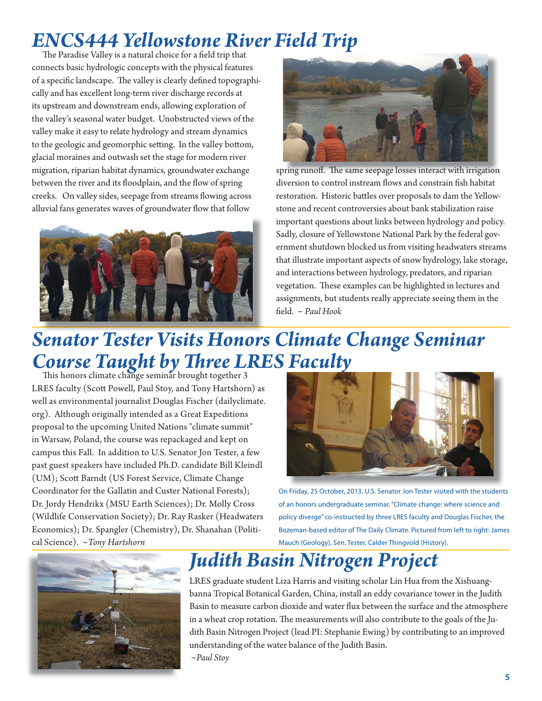# *ENCS444 Yellowstone River Field Trip*

The Paradise Valley is a natural choice for a field trip that connects basic hydrologic concepts with the physical features of a specific landscape. The valley is clearly defined topographically and has excellent long-term river discharge records at its upstream and downstream ends, allowing exploration of the valley's seasonal water budget. Unobstructed views of the valley make it easy to relate hydrology and stream dynamics to the geologic and geomorphic setting. In the valley bottom, glacial moraines and outwash set the stage for modern river migration, riparian habitat dynamics, groundwater exchange between the river and its floodplain, and the flow of spring creeks. On valley sides, seepage from streams flowing across alluvial fans generates waves of groundwater flow that follow





spring runoff. The same seepage losses interact with irrigation diversion to control instream flows and constrain fish habitat restoration. Historic battles over proposals to dam the Yellowstone and recent controversies about bank stabilization raise important questions about links between hydrology and policy. Sadly, closure of Yellowstone National Park by the federal government shutdown blocked us from visiting headwaters streams that illustrate important aspects of snow hydrology, lake storage, and interactions between hydrology, predators, and riparian vegetation. These examples can be highlighted in lectures and assignments, but students really appreciate seeing them in the field. ~ Paul Hook

# *Senator Tester Visits Honors Climate Change Seminar Course Taught by Three LRES Faculty* This honors climate change seminar brought together 3

LRES faculty (Scott Powell, Paul Stoy, and Tony Hartshorn) as well as environmental journalist Douglas Fischer (dailyclimate. org). Although originally intended as a Great Expeditions proposal to the upcoming United Nations "climate summit" in Warsaw, Poland, the course was repackaged and kept on campus this Fall. In addition to U.S. Senator Jon Tester, a few past guest speakers have included Ph.D. candidate Bill Kleindl (UM); Scott Barndt (US Forest Service, Climate Change Coordinator for the Gallatin and Custer National Forests); Dr. Jordy Hendrikx (MSU Earth Sciences); Dr. Molly Cross (Wildlife Conservation Society); Dr. Ray Rasker (Headwaters Economics); Dr. Spangler (Chemistry), Dr. Shanahan (Political Science). *~Tony Hartshorn*



On Friday, 25 October, 2013, U.S. Senator Jon Tester visited with the students of an honors undergraduate seminar, "Climate change: where science and policy diverge" co-instructed by three LRES faculty and Douglas Fischer, the Bozeman-based editor of The Daily Climate. Pictured from left to right: James Mauch (Geology), Sen. Tester, Calder Thingvold (History).



## *Judith Basin Nitrogen Project*

LRES graduate student Liza Harris and visiting scholar Lin Hua from the Xishuangbanna Tropical Botanical Garden, China, install an eddy covariance tower in the Judith Basin to measure carbon dioxide and water flux between the surface and the atmosphere in a wheat crop rotation. The measurements will also contribute to the goals of the Judith Basin Nitrogen Project (lead PI: Stephanie Ewing) by contributing to an improved understanding of the water balance of the Judith Basin. *~Paul Stoy*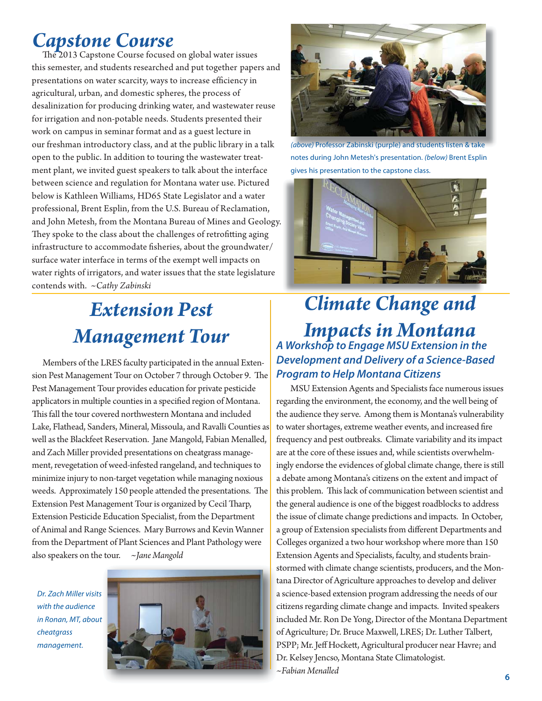### *Capstone Course*

The 2013 Capstone Course focused on global water issues this semester, and students researched and put together papers and presentations on water scarcity, ways to increase efficiency in agricultural, urban, and domestic spheres, the process of desalinization for producing drinking water, and wastewater reuse for irrigation and non-potable needs. Students presented their work on campus in seminar format and as a guest lecture in our freshman introductory class, and at the public library in a talk open to the public. In addition to touring the wastewater treatment plant, we invited guest speakers to talk about the interface between science and regulation for Montana water use. Pictured below is Kathleen Williams, HD65 State Legislator and a water professional, Brent Esplin, from the U.S. Bureau of Reclamation, and John Metesh, from the Montana Bureau of Mines and Geology. They spoke to the class about the challenges of retrofitting aging infrastructure to accommodate fisheries, about the groundwater/ surface water interface in terms of the exempt well impacts on water rights of irrigators, and water issues that the state legislature contends with. ~*Cathy Zabinski*

## *Extension Pest Management Tour*

 Members of the LRES faculty participated in the annual Extension Pest Management Tour on October 7 through October 9. The Pest Management Tour provides education for private pesticide applicators in multiple counties in a specified region of Montana. This fall the tour covered northwestern Montana and included Lake, Flathead, Sanders, Mineral, Missoula, and Ravalli Counties as well as the Blackfeet Reservation. Jane Mangold, Fabian Menalled, and Zach Miller provided presentations on cheatgrass management, revegetation of weed-infested rangeland, and techniques to minimize injury to non-target vegetation while managing noxious weeds. Approximately 150 people attended the presentations. The Extension Pest Management Tour is organized by Cecil Tharp, Extension Pesticide Education Specialist, from the Department of Animal and Range Sciences. Mary Burrows and Kevin Wanner from the Department of Plant Sciences and Plant Pathology were also speakers on the tour. *~Jane Mangold*

Dr. Zach Miller visits with the audience in Ronan, MT, about cheatgrass management.





(above) Professor Zabinski (purple) and students listen & take notes during John Metesh's presentation. (below) Brent Esplin gives his presentation to the capstone class.



### *Climate Change and Impacts in Montana A Workshop to Engage MSU Extension in the Development and Delivery of a Science-Based Program to Help Montana Citizens*

 MSU Extension Agents and Specialists face numerous issues regarding the environment, the economy, and the well being of the audience they serve. Among them is Montana's vulnerability to water shortages, extreme weather events, and increased fire frequency and pest outbreaks. Climate variability and its impact are at the core of these issues and, while scientists overwhelmingly endorse the evidences of global climate change, there is still a debate among Montana's citizens on the extent and impact of this problem. This lack of communication between scientist and the general audience is one of the biggest roadblocks to address the issue of climate change predictions and impacts. In October, a group of Extension specialists from different Departments and Colleges organized a two hour workshop where more than 150 Extension Agents and Specialists, faculty, and students brainstormed with climate change scientists, producers, and the Montana Director of Agriculture approaches to develop and deliver a science-based extension program addressing the needs of our citizens regarding climate change and impacts. Invited speakers included Mr. Ron De Yong, Director of the Montana Department of Agriculture; Dr. Bruce Maxwell, LRES; Dr. Luther Talbert, PSPP; Mr. Jeff Hockett, Agricultural producer near Havre; and Dr. Kelsey Jencso, Montana State Climatologist. *~Fabian Menalled*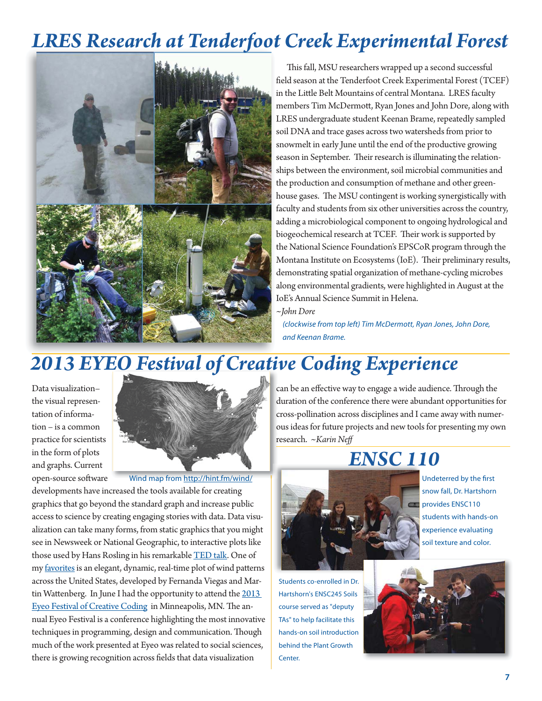### *LRES Research at Tenderfoot Creek Experimental Forest*



This fall, MSU researchers wrapped up a second successful field season at the Tenderfoot Creek Experimental Forest (TCEF) in the Little Belt Mountains of central Montana. LRES faculty members Tim McDermott, Ryan Jones and John Dore, along with LRES undergraduate student Keenan Brame, repeatedly sampled soil DNA and trace gases across two watersheds from prior to snowmelt in early June until the end of the productive growing season in September. Their research is illuminating the relationships between the environment, soil microbial communities and the production and consumption of methane and other greenhouse gases. The MSU contingent is working synergistically with faculty and students from six other universities across the country, adding a microbiological component to ongoing hydrological and biogeochemical research at TCEF. Their work is supported by the National Science Foundation's EPSCoR program through the Montana Institute on Ecosystems (IoE). Their preliminary results, demonstrating spatial organization of methane-cycling microbes along environmental gradients, were highlighted in August at the IoE's Annual Science Summit in Helena.

*~John Dore*

(clockwise from top left) Tim McDermott, Ryan Jones, John Dore, and Keenan Brame.

### *2013 EYEO Festival of Creative Coding Experience*

Data visualization– the visual representation of information – is a common practice for scientists in the form of plots and graphs. Current



open-source software developments have increased the tools available for creating graphics that go beyond the standard graph and increase public access to science by creating engaging stories with data. Data visualization can take many forms, from static graphics that you might see in Newsweek or National Geographic, to interactive plots like those used by Hans Rosling in his remarkable **TED** talk. One of my [favorites](http://hint.fm/wind/) is an elegant, dynamic, real-time plot of wind patterns across the United States, developed by Fernanda Viegas and Martin Wattenberg. In June I had the opportunity to attend the 2013 Eyeo Festival of Creative Coding in Minneapolis, MN. The annual Eyeo Festival is a conference highlighting the most innovative techniques in programming, design and communication. Though much of the work presented at Eyeo was related to social sciences, there is growing recognition across fields that data visualization Wind map from http://hint.fm/wind/

can be an effective way to engage a wide audience. Through the duration of the conference there were abundant opportunities for cross-pollination across disciplines and I came away with numer-c ous ideas for future projects and new tools for presenting my own research. *~Karin Neff*  r

## *ENSC 110*



Students co-enrolled in Dr. Hartshorn's ENSC245 Soils course served as "deputy TAs" to help facilitate this hands-on soil introduction behind the Plant Growth Center.



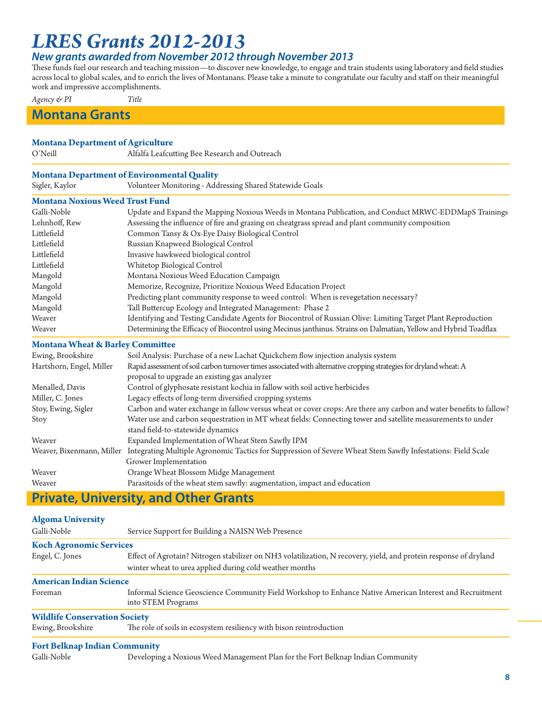### *LRES Grants 2012-2013*

#### *New grants awarded from November 2012 through November 2013*

These funds fuel our research and teaching mission-to discover new knowledge, to engage and train students using laboratory and field studies across local to global scales, and to enrich the lives of Montanans. Please take a minute to congratulate our faculty and staff on their meaningful work and impressive accomplishments.

*Agency & PI Title*

#### **Montana Grants**

#### **Montana Department of Agriculture**

O'Neill **Alfalfa Leafcutting Bee Research and Outreach** 

#### **Montana Department of Environmental Quality**

Sigler, Kaylor Volunteer Monitoring - Addressing Shared Statewide Goals

#### **Montana Noxious Weed Trust Fund**

| Galli-Noble   | Update and Expand the Mapping Noxious Weeds in Montana Publication, and Conduct MRWC-EDDMapS Trainings           |
|---------------|------------------------------------------------------------------------------------------------------------------|
| Lehnhoff, Rew | Assessing the influence of fire and grazing on cheatgrass spread and plant community composition                 |
| Littlefield   | Common Tansy & Ox-Eye Daisy Biological Control                                                                   |
| Littlefield   | Russian Knapweed Biological Control                                                                              |
| Littlefield   | Invasive hawkweed biological control                                                                             |
| Littlefield   | Whitetop Biological Control                                                                                      |
| Mangold       | Montana Noxious Weed Education Campaign                                                                          |
| Mangold       | Memorize, Recognize, Prioritize Noxious Weed Education Project                                                   |
| Mangold       | Predicting plant community response to weed control: When is revegetation necessary?                             |
| Mangold       | Tall Buttercup Ecology and Integrated Management: Phase 2                                                        |
| Weaver        | Identifying and Testing Candidate Agents for Biocontrol of Russian Olive: Limiting Target Plant Reproduction     |
| Weaver        | Determining the Efficacy of Biocontrol using Mecinus janthinus. Strains on Dalmatian, Yellow and Hybrid Toadflax |

#### **Montana Wheat & Barley Committee**

| Ewing, Brookshire         | Soil Analysis: Purchase of a new Lachat Quickchem flow injection analysis system                                                                                    |
|---------------------------|---------------------------------------------------------------------------------------------------------------------------------------------------------------------|
| Hartshorn, Engel, Miller  | Rapid assessment of soil carbon turnover times associated with alternative cropping strategies for dryland wheat: A<br>proposal to upgrade an existing gas analyzer |
| Menalled, Davis           | Control of glyphosate resistant kochia in fallow with soil active herbicides                                                                                        |
| Miller, C. Jones          | Legacy effects of long-term diversified cropping systems                                                                                                            |
| Stoy, Ewing, Sigler       | Carbon and water exchange in fallow versus wheat or cover crops: Are there any carbon and water benefits to fallow?                                                 |
| Stoy                      | Water use and carbon sequestration in MT wheat fields: Connecting tower and satellite measurements to under<br>stand field-to-statewide dynamics                    |
| Weaver                    | Expanded Implementation of Wheat Stem Sawfly IPM                                                                                                                    |
| Weaver, Bixenmann, Miller | Integrating Multiple Agronomic Tactics for Suppression of Severe Wheat Stem Sawfly Infestations: Field Scale<br>Grower Implementation                               |
| Weaver                    | Orange Wheat Blossom Midge Management                                                                                                                               |
| Weaver                    | Parasitoids of the wheat stem sawfly: augmentation, impact and education                                                                                            |
|                           |                                                                                                                                                                     |

#### **Private, University, and Other Grants**

#### **Algoma University**

| Galli-Noble                          | Service Support for Building a NAISN Web Presence                                                                                                                            |
|--------------------------------------|------------------------------------------------------------------------------------------------------------------------------------------------------------------------------|
| <b>Koch Agronomic Services</b>       |                                                                                                                                                                              |
| Engel, C. Jones                      | Effect of Agrotain? Nitrogen stabilizer on NH3 volatilization, N recovery, yield, and protein response of dryland<br>winter wheat to urea applied during cold weather months |
| <b>American Indian Science</b>       |                                                                                                                                                                              |
| Foreman                              | Informal Science Geoscience Community Field Workshop to Enhance Native American Interest and Recruitment<br>into STEM Programs                                               |
| <b>Wildlife Conservation Society</b> |                                                                                                                                                                              |
| Ewing, Brookshire                    | The role of soils in ecosystem resiliency with bison reintroduction                                                                                                          |
| <b>Fort Belknap Indian Community</b> |                                                                                                                                                                              |

Galli-Noble Developing a Noxious Weed Management Plan for the Fort Belknap Indian Community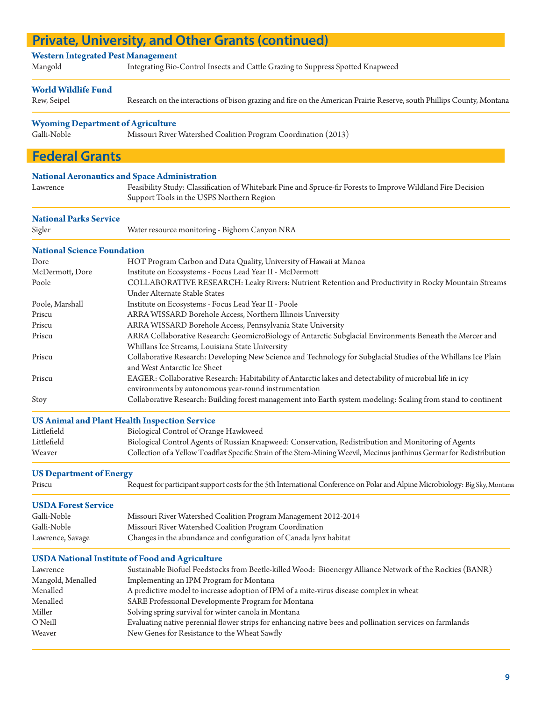#### **Western Integrated Pest Management**  Mangold Integrating Bio-Control Insects and Cattle Grazing to Suppress Spotted Knapweed **World Wildlife Fund** Rew, Seipel Research on the interactions of bison grazing and fire on the American Prairie Reserve, south Phillips County, Montana **Wyoming Department of Agriculture** Galli-Noble Missouri River Watershed Coalition Program Coordination (2013) I **National Aeronautics and Space Administration** Lawrence Feasibility Study: Classification of Whitebark Pine and Spruce-fir Forests to Improve Wildland Fire Decision Support Tools in the USFS Northern Region **National Parks Service** Sigler Water resource monitoring - Bighorn Canyon NRA **National Science Foundation**  Dore HOT Program Carbon and Data Quality, University of Hawaii at Manoa McDermott, Dore Institute on Ecosystems - Focus Lead Year II - McDermott Poole COLLABORATIVE RESEARCH: Leaky Rivers: Nutrient Retention and Productivity in Rocky Mountain Streams Under Alternate Stable States Poole, Marshall Institute on Ecosystems - Focus Lead Year II - Poole Priscu ARRA WISSARD Borehole Access, Northern Illinois University Priscu ARRA WISSARD Borehole Access, Pennsylvania State University Priscu ARRA Collaborative Research: GeomicroBiology of Antarctic Subglacial Environments Beneath the Mercer and Whillans Ice Streams, Louisiana State University Priscu Collaborative Research: Developing New Science and Technology for Subglacial Studies of the Whillans Ice Plain and West Antarctic Ice Sheet Priscu EAGER: Collaborative Research: Habitability of Antarctic lakes and detectability of microbial life in icy environments by autonomous year-round instrumentation Stoy Collaborative Research: Building forest management into Earth system modeling: Scaling from stand to continent **US Animal and Plant Health Inspection Service** Littlefield Biological Control of Orange Hawkweed Littlefield Biological Control Agents of Russian Knapweed: Conservation, Redistribution and Monitoring of Agents Weaver Collection of a Yellow Toadflax Specific Strain of the Stem-Mining Weevil, Mecinus janthinus Germar for Redistribution **US Department of Energy** Priscu Request for participant support costs for the 5th International Conference on Polar and Alpine Microbiology: Big Sky, Montana **USDA Forest Service** Galli-Noble Missouri River Watershed Coalition Program Management 2012-2014 Galli-Noble Missouri River Watershed Coalition Program Coordination Lawrence, Savage Changes in the abundance and configuration of Canada lynx habitat **USDA National Institute of Food and Agriculture** Lawrence Sustainable Biofuel Feedstocks from Beetle-killed Wood: Bioenergy Alliance Network of the Rockies (BANR) Mangold, Menalled Implementing an IPM Program for Montana Menalled A predictive model to increase adoption of IPM of a mite-virus disease complex in wheat Menalled SARE Professional Developmente Program for Montana Miller Solving spring survival for winter canola in Montana O'Neill Evaluating native perennial flower strips for enhancing native bees and pollination services on farmlands Weaver New Genes for Resistance to the Wheat Sawfly  **Federal Grants Private, University, and Other Grants (continued)**